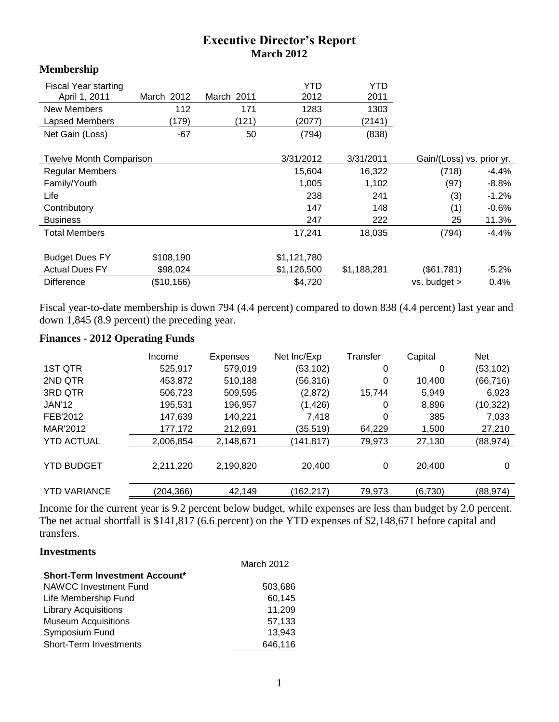# **Executive Director's Report March 2012**

| <b>Membership</b>              |            |            |             |             |                           |          |
|--------------------------------|------------|------------|-------------|-------------|---------------------------|----------|
| Fiscal Year starting           |            |            | <b>YTD</b>  | YTD         |                           |          |
| April 1, 2011                  | March 2012 | March 2011 | 2012        | 2011        |                           |          |
| <b>New Members</b>             | 112        | 171        | 1283        | 1303        |                           |          |
| <b>Lapsed Members</b>          | (179)      | (121)      | (2077)      | (2141)      |                           |          |
| Net Gain (Loss)                | $-67$      | 50         | (794)       | (838)       |                           |          |
| <b>Twelve Month Comparison</b> |            |            | 3/31/2012   | 3/31/2011   | Gain/(Loss) vs. prior yr. |          |
| <b>Regular Members</b>         |            |            | 15,604      | 16,322      | (718)                     | -4.4%    |
| Family/Youth                   |            |            | 1,005       | 1,102       | (97)                      | $-8.8\%$ |
| Life                           |            |            | 238         | 241         | (3)                       | $-1.2%$  |
| Contributory                   |            |            | 147         | 148         | (1)                       | $-0.6\%$ |
| <b>Business</b>                |            |            | 247         | 222         | 25                        | 11.3%    |
| <b>Total Members</b>           |            |            | 17,241      | 18,035      | (794)                     | $-4.4%$  |
| <b>Budget Dues FY</b>          | \$108,190  |            | \$1,121,780 |             |                           |          |
| <b>Actual Dues FY</b>          | \$98,024   |            | \$1,126,500 | \$1,188,281 | (\$61,781)                | $-5.2\%$ |
| <b>Difference</b>              | (\$10,166) |            | \$4,720     |             | vs. budget >              | 0.4%     |

Fiscal year-to-date membership is down 794 (4.4 percent) compared to down 838 (4.4 percent) last year and down 1,845 (8.9 percent) the preceding year.

# **Finances - 2012 Operating Funds**

|                     | Income     | Expenses  | Net Inc/Exp | Transfer | Capital | <b>Net</b> |
|---------------------|------------|-----------|-------------|----------|---------|------------|
| 1ST QTR             | 525,917    | 579,019   | (53, 102)   | 0        | 0       | (53, 102)  |
| 2ND QTR             | 453.872    | 510,188   | (56,316)    | 0        | 10.400  | (66, 716)  |
| 3RD QTR             | 506,723    | 509,595   | (2,872)     | 15,744   | 5,949   | 6.923      |
| <b>JAN'12</b>       | 195,531    | 196,957   | (1, 426)    | 0        | 8,896   | (10, 322)  |
| FEB'2012            | 147,639    | 140,221   | 7.418       | 0        | 385     | 7,033      |
| MAR'2012            | 177,172    | 212,691   | (35,519)    | 64.229   | 1,500   | 27,210     |
| <b>YTD ACTUAL</b>   | 2,006,854  | 2.148.671 | (141, 817)  | 79,973   | 27,130  | (88, 974)  |
| <b>YTD BUDGET</b>   | 2,211,220  | 2,190,820 | 20,400      | 0        | 20.400  | 0          |
| <b>YTD VARIANCE</b> | (204, 366) | 42,149    | (162, 217)  | 79,973   | (6,730) | (88, 974)  |

Income for the current year is 9.2 percent below budget, while expenses are less than budget by 2.0 percent. The net actual shortfall is \$141,817 (6.6 percent) on the YTD expenses of \$2,148,671 before capital and transfers.

#### **Investments**

|                                       | March 2012 |
|---------------------------------------|------------|
| <b>Short-Term Investment Account*</b> |            |
| NAWCC Investment Fund                 | 503,686    |
| Life Membership Fund                  | 60,145     |
| <b>Library Acquisitions</b>           | 11,209     |
| <b>Museum Acquisitions</b>            | 57,133     |
| Symposium Fund                        | 13.943     |
| <b>Short-Term Investments</b>         | 646.116    |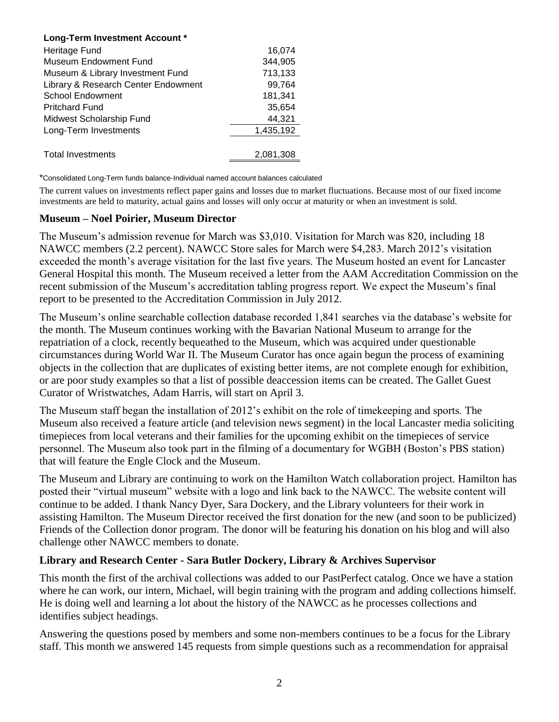| Long-Term Investment Account *      |           |
|-------------------------------------|-----------|
| Heritage Fund                       | 16,074    |
| Museum Endowment Fund               | 344,905   |
| Museum & Library Investment Fund    | 713,133   |
| Library & Research Center Endowment | 99.764    |
| <b>School Endowment</b>             | 181,341   |
| <b>Pritchard Fund</b>               | 35,654    |
| Midwest Scholarship Fund            | 44,321    |
| Long-Term Investments               | 1,435,192 |
|                                     |           |
| <b>Total Investments</b>            | 2.081.308 |

\*Consolidated Long-Term funds balance-Individual named account balances calculated

The current values on investments reflect paper gains and losses due to market fluctuations. Because most of our fixed income investments are held to maturity, actual gains and losses will only occur at maturity or when an investment is sold.

#### **Museum – Noel Poirier, Museum Director**

The Museum's admission revenue for March was \$3,010. Visitation for March was 820, including 18 NAWCC members (2.2 percent). NAWCC Store sales for March were \$4,283. March 2012's visitation exceeded the month's average visitation for the last five years. The Museum hosted an event for Lancaster General Hospital this month. The Museum received a letter from the AAM Accreditation Commission on the recent submission of the Museum's accreditation tabling progress report. We expect the Museum's final report to be presented to the Accreditation Commission in July 2012.

The Museum's online searchable collection database recorded 1,841 searches via the database's website for the month. The Museum continues working with the Bavarian National Museum to arrange for the repatriation of a clock, recently bequeathed to the Museum, which was acquired under questionable circumstances during World War II. The Museum Curator has once again begun the process of examining objects in the collection that are duplicates of existing better items, are not complete enough for exhibition, or are poor study examples so that a list of possible deaccession items can be created. The Gallet Guest Curator of Wristwatches, Adam Harris, will start on April 3.

The Museum staff began the installation of 2012's exhibit on the role of timekeeping and sports. The Museum also received a feature article (and television news segment) in the local Lancaster media soliciting timepieces from local veterans and their families for the upcoming exhibit on the timepieces of service personnel. The Museum also took part in the filming of a documentary for WGBH (Boston's PBS station) that will feature the Engle Clock and the Museum.

The Museum and Library are continuing to work on the Hamilton Watch collaboration project. Hamilton has posted their "virtual museum" website with a logo and link back to the NAWCC. The website content will continue to be added. I thank Nancy Dyer, Sara Dockery, and the Library volunteers for their work in assisting Hamilton. The Museum Director received the first donation for the new (and soon to be publicized) Friends of the Collection donor program. The donor will be featuring his donation on his blog and will also challenge other NAWCC members to donate.

### **Library and Research Center - Sara Butler Dockery, Library & Archives Supervisor**

This month the first of the archival collections was added to our PastPerfect catalog. Once we have a station where he can work, our intern, Michael, will begin training with the program and adding collections himself. He is doing well and learning a lot about the history of the NAWCC as he processes collections and identifies subject headings.

Answering the questions posed by members and some non-members continues to be a focus for the Library staff. This month we answered 145 requests from simple questions such as a recommendation for appraisal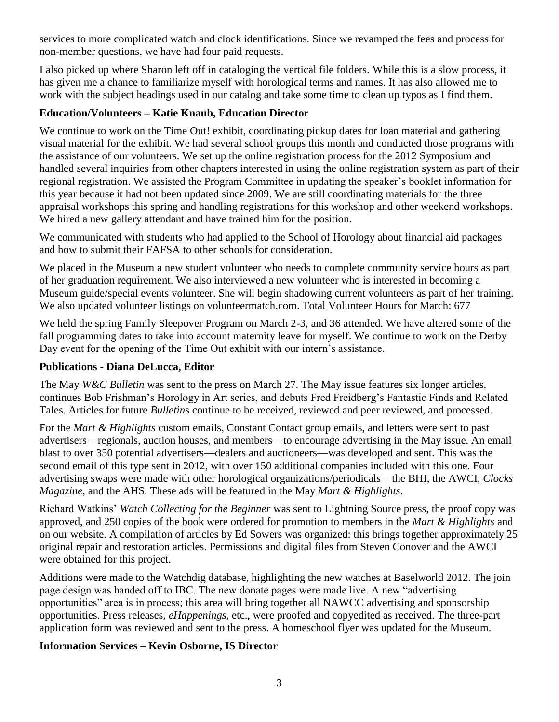services to more complicated watch and clock identifications. Since we revamped the fees and process for non-member questions, we have had four paid requests.

I also picked up where Sharon left off in cataloging the vertical file folders. While this is a slow process, it has given me a chance to familiarize myself with horological terms and names. It has also allowed me to work with the subject headings used in our catalog and take some time to clean up typos as I find them.

## **Education/Volunteers – Katie Knaub, Education Director**

We continue to work on the Time Out! exhibit, coordinating pickup dates for loan material and gathering visual material for the exhibit. We had several school groups this month and conducted those programs with the assistance of our volunteers. We set up the online registration process for the 2012 Symposium and handled several inquiries from other chapters interested in using the online registration system as part of their regional registration. We assisted the Program Committee in updating the speaker's booklet information for this year because it had not been updated since 2009. We are still coordinating materials for the three appraisal workshops this spring and handling registrations for this workshop and other weekend workshops. We hired a new gallery attendant and have trained him for the position.

We communicated with students who had applied to the School of Horology about financial aid packages and how to submit their FAFSA to other schools for consideration.

We placed in the Museum a new student volunteer who needs to complete community service hours as part of her graduation requirement. We also interviewed a new volunteer who is interested in becoming a Museum guide/special events volunteer. She will begin shadowing current volunteers as part of her training. We also updated volunteer listings on volunteermatch.com. Total Volunteer Hours for March: 677

We held the spring Family Sleepover Program on March 2-3, and 36 attended. We have altered some of the fall programming dates to take into account maternity leave for myself. We continue to work on the Derby Day event for the opening of the Time Out exhibit with our intern's assistance.

### **Publications - Diana DeLucca, Editor**

The May *W&C Bulletin* was sent to the press on March 27. The May issue features six longer articles, continues Bob Frishman's Horology in Art series, and debuts Fred Freidberg's Fantastic Finds and Related Tales. Articles for future *Bulletin*s continue to be received, reviewed and peer reviewed, and processed.

For the *Mart & Highlights* custom emails, Constant Contact group emails, and letters were sent to past advertisers—regionals, auction houses, and members—to encourage advertising in the May issue. An email blast to over 350 potential advertisers—dealers and auctioneers—was developed and sent. This was the second email of this type sent in 2012, with over 150 additional companies included with this one. Four advertising swaps were made with other horological organizations/periodicals—the BHI, the AWCI, *Clocks Magazine*, and the AHS. These ads will be featured in the May *Mart & Highlights*.

Richard Watkins' *Watch Collecting for the Beginner* was sent to Lightning Source press, the proof copy was approved, and 250 copies of the book were ordered for promotion to members in the *Mart & Highlights* and on our website. A compilation of articles by Ed Sowers was organized: this brings together approximately 25 original repair and restoration articles. Permissions and digital files from Steven Conover and the AWCI were obtained for this project.

Additions were made to the Watchdig database, highlighting the new watches at Baselworld 2012. The join page design was handed off to IBC. The new donate pages were made live. A new "advertising opportunities" area is in process; this area will bring together all NAWCC advertising and sponsorship opportunities. Press releases, *eHappenings*, etc., were proofed and copyedited as received. The three-part application form was reviewed and sent to the press. A homeschool flyer was updated for the Museum.

### **Information Services – Kevin Osborne, IS Director**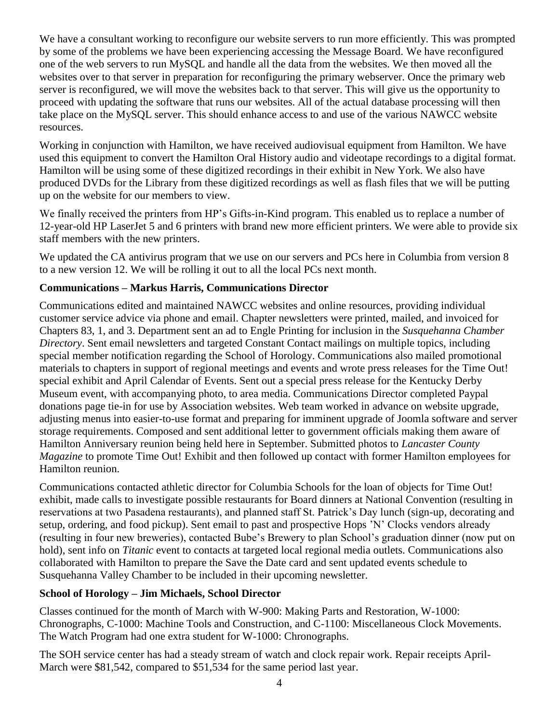We have a consultant working to reconfigure our website servers to run more efficiently. This was prompted by some of the problems we have been experiencing accessing the Message Board. We have reconfigured one of the web servers to run MySQL and handle all the data from the websites. We then moved all the websites over to that server in preparation for reconfiguring the primary webserver. Once the primary web server is reconfigured, we will move the websites back to that server. This will give us the opportunity to proceed with updating the software that runs our websites. All of the actual database processing will then take place on the MySQL server. This should enhance access to and use of the various NAWCC website resources.

Working in conjunction with Hamilton, we have received audiovisual equipment from Hamilton. We have used this equipment to convert the Hamilton Oral History audio and videotape recordings to a digital format. Hamilton will be using some of these digitized recordings in their exhibit in New York. We also have produced DVDs for the Library from these digitized recordings as well as flash files that we will be putting up on the website for our members to view.

We finally received the printers from HP's Gifts-in-Kind program. This enabled us to replace a number of 12-year-old HP LaserJet 5 and 6 printers with brand new more efficient printers. We were able to provide six staff members with the new printers.

We updated the CA antivirus program that we use on our servers and PCs here in Columbia from version 8 to a new version 12. We will be rolling it out to all the local PCs next month.

### **Communications – Markus Harris, Communications Director**

Communications edited and maintained NAWCC websites and online resources, providing individual customer service advice via phone and email. Chapter newsletters were printed, mailed, and invoiced for Chapters 83, 1, and 3. Department sent an ad to Engle Printing for inclusion in the *Susquehanna Chamber Directory*. Sent email newsletters and targeted Constant Contact mailings on multiple topics, including special member notification regarding the School of Horology. Communications also mailed promotional materials to chapters in support of regional meetings and events and wrote press releases for the Time Out! special exhibit and April Calendar of Events. Sent out a special press release for the Kentucky Derby Museum event, with accompanying photo, to area media. Communications Director completed Paypal donations page tie-in for use by Association websites. Web team worked in advance on website upgrade, adjusting menus into easier-to-use format and preparing for imminent upgrade of Joomla software and server storage requirements. Composed and sent additional letter to government officials making them aware of Hamilton Anniversary reunion being held here in September. Submitted photos to *Lancaster County Magazine* to promote Time Out! Exhibit and then followed up contact with former Hamilton employees for Hamilton reunion.

Communications contacted athletic director for Columbia Schools for the loan of objects for Time Out! exhibit, made calls to investigate possible restaurants for Board dinners at National Convention (resulting in reservations at two Pasadena restaurants), and planned staff St. Patrick's Day lunch (sign-up, decorating and setup, ordering, and food pickup). Sent email to past and prospective Hops 'N' Clocks vendors already (resulting in four new breweries), contacted Bube's Brewery to plan School's graduation dinner (now put on hold), sent info on *Titanic* event to contacts at targeted local regional media outlets. Communications also collaborated with Hamilton to prepare the Save the Date card and sent updated events schedule to Susquehanna Valley Chamber to be included in their upcoming newsletter.

# **School of Horology – Jim Michaels, School Director**

Classes continued for the month of March with W-900: Making Parts and Restoration, W-1000: Chronographs, C-1000: Machine Tools and Construction, and C-1100: Miscellaneous Clock Movements. The Watch Program had one extra student for W-1000: Chronographs.

The SOH service center has had a steady stream of watch and clock repair work. Repair receipts April-March were \$81,542, compared to \$51,534 for the same period last year.